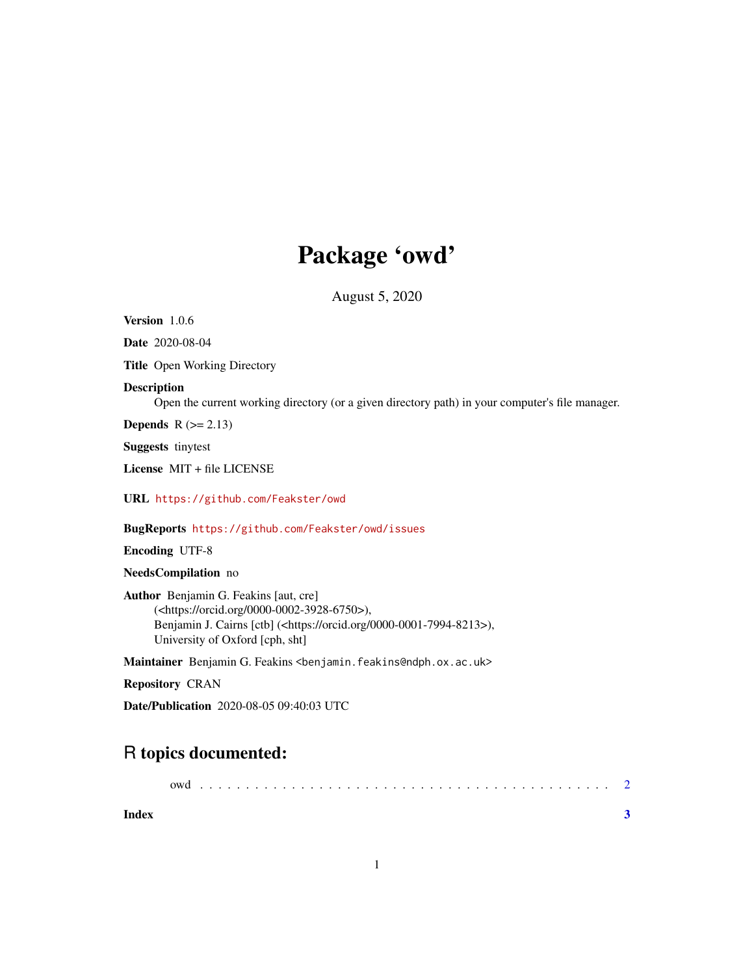## Package 'owd'

August 5, 2020

<span id="page-0-0"></span>Version 1.0.6

Date 2020-08-04

Title Open Working Directory

#### Description

Open the current working directory (or a given directory path) in your computer's file manager.

**Depends**  $R$  ( $>= 2.13$ )

Suggests tinytest

License MIT + file LICENSE

URL <https://github.com/Feakster/owd>

BugReports <https://github.com/Feakster/owd/issues>

Encoding UTF-8

NeedsCompilation no

Author Benjamin G. Feakins [aut, cre] (<https://orcid.org/0000-0002-3928-6750>), Benjamin J. Cairns [ctb] (<https://orcid.org/0000-0001-7994-8213>), University of Oxford [cph, sht]

Maintainer Benjamin G. Feakins <br/>benjamin.feakins@ndph.ox.ac.uk>

Repository CRAN

Date/Publication 2020-08-05 09:40:03 UTC

### R topics documented:

|       | owd |  |  |  |  |  |  |  |  |  |  |  |  |  |  |  |  |  |  |  |  |  |
|-------|-----|--|--|--|--|--|--|--|--|--|--|--|--|--|--|--|--|--|--|--|--|--|
| Index |     |  |  |  |  |  |  |  |  |  |  |  |  |  |  |  |  |  |  |  |  |  |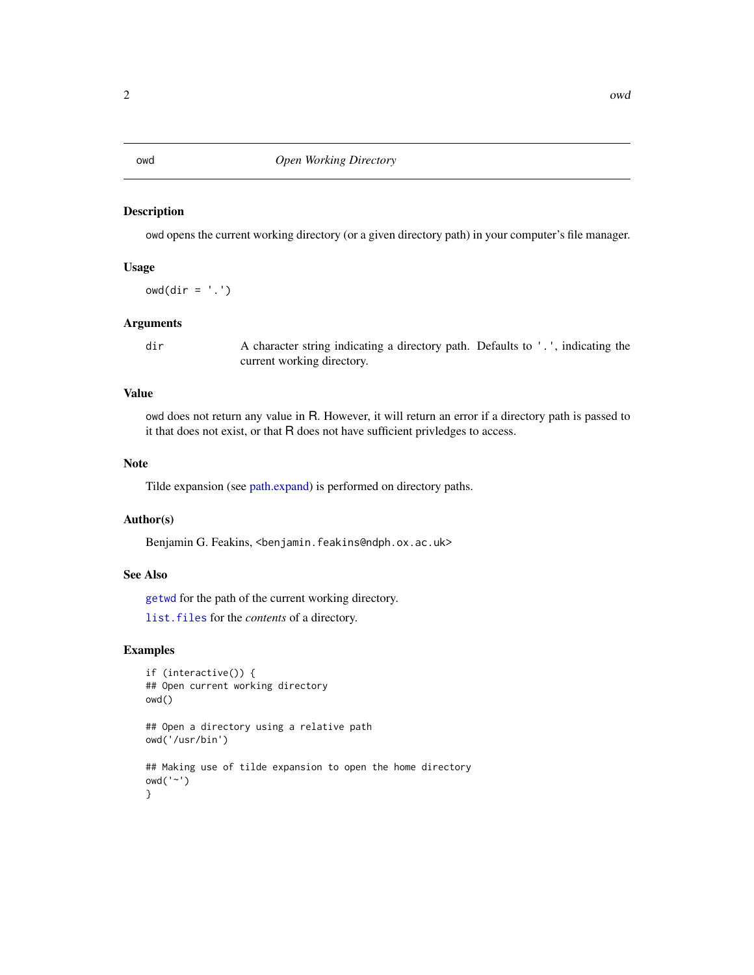#### Description

owd opens the current working directory (or a given directory path) in your computer's file manager.

#### Usage

 $owd(dir = '.')$ 

#### Arguments

dir A character string indicating a directory path. Defaults to '.', indicating the current working directory.

#### Value

owd does not return any value in R. However, it will return an error if a directory path is passed to it that does not exist, or that R does not have sufficient privledges to access.

#### Note

Tilde expansion (see [path.expand\)](#page-0-0) is performed on directory paths.

#### Author(s)

Benjamin G. Feakins, <benjamin.feakins@ndph.ox.ac.uk>

#### See Also

[getwd](#page-0-0) for the path of the current working directory.

[list.files](#page-0-0) for the *contents* of a directory.

#### Examples

```
if (interactive()) {
## Open current working directory
owd()
## Open a directory using a relative path
owd('/usr/bin')
## Making use of tilde expansion to open the home directory
owd('~')
}
```
<span id="page-1-0"></span>